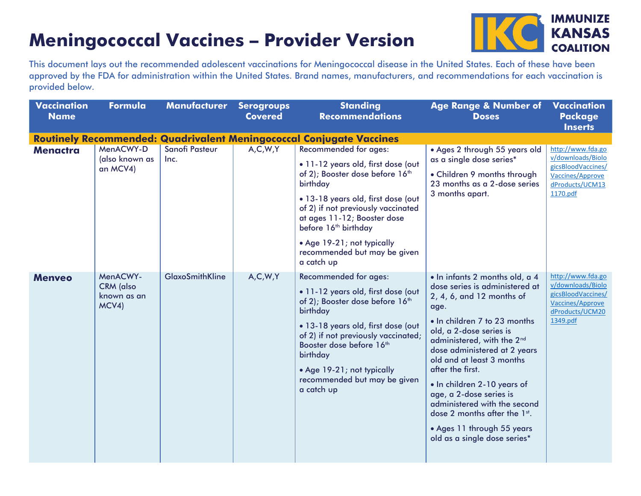## **Meningococcal Vaccines – Provider Version**



This document lays out the recommended adolescent vaccinations for Meningococcal disease in the United States. Each of these have been approved by the FDA for administration within the United States. Brand names, manufacturers, and recommendations for each vaccination is provided below.

| <b>Vaccination</b><br><b>Name</b> | Formula                                              | <b>Manufacturer</b>           | <b>Serogroups</b><br><b>Covered</b> | <b>Standing</b><br><b>Recommendations</b>                                                                                                                                                                                                                                                                                                                                                                     | <b>Age Range &amp; Number of</b><br><b>Doses</b>                                                                                                                                                                                                                                                                                                                                                                                                                                    | Vaccination<br><b>Package</b><br><b>Inserts</b>                                                                        |
|-----------------------------------|------------------------------------------------------|-------------------------------|-------------------------------------|---------------------------------------------------------------------------------------------------------------------------------------------------------------------------------------------------------------------------------------------------------------------------------------------------------------------------------------------------------------------------------------------------------------|-------------------------------------------------------------------------------------------------------------------------------------------------------------------------------------------------------------------------------------------------------------------------------------------------------------------------------------------------------------------------------------------------------------------------------------------------------------------------------------|------------------------------------------------------------------------------------------------------------------------|
| <b>Menactra</b>                   | MenACWY-D<br>(also known as<br>an MCV4)              | <b>Sanofi Pasteur</b><br>Inc. | A, C, W, Y                          | Routinely Recommended: Quadrivalent Meningococcal Conjugate Vaccines<br>Recommended for ages:<br>. 11-12 years old, first dose (out<br>of 2); Booster dose before 16th<br>birthday<br>· 13-18 years old, first dose (out<br>of 2) if not previously vaccinated<br>at ages 11-12; Booster dose<br>before 16 <sup>th</sup> birthday<br>• Age 19-21; not typically<br>recommended but may be given<br>a catch up | . Ages 2 through 55 years old<br>as a single dose series*<br>• Children 9 months through<br>23 months as a 2-dose series<br>3 months apart.                                                                                                                                                                                                                                                                                                                                         | http://www.fda.go<br>v/downloads/Biolo<br>gicsBloodVaccines/<br>Vaccines/Approve<br>dProducts/UCM13<br>1170.pdf        |
| <b>Menveo</b>                     | MenACWY-<br><b>CRM</b> (also<br>known as an<br>MCV4) | <b>GlaxoSmithKline</b>        | A, C, W, Y                          | Recommended for ages:<br>. 11-12 years old, first dose (out<br>of 2); Booster dose before 16th<br>birthday<br>· 13-18 years old, first dose (out<br>of 2) if not previously vaccinated;<br>Booster dose before 16th<br>birthday<br>• Age 19-21; not typically<br>recommended but may be given<br>a catch up                                                                                                   | · In infants 2 months old, a 4<br>dose series is administered at<br>2, 4, 6, and 12 months of<br>age.<br>. In children 7 to 23 months<br>old, a 2-dose series is<br>administered, with the 2 <sup>nd</sup><br>dose administered at 2 years<br>old and at least 3 months<br>after the first.<br>• In children 2-10 years of<br>age, a 2-dose series is<br>administered with the second<br>dose 2 months after the 1st.<br>• Ages 11 through 55 years<br>old as a single dose series* | http://www.fda.go<br>v/downloads/Biolo<br>gicsBloodVaccines/<br><b>Vaccines/Approve</b><br>dProducts/UCM20<br>1349.pdf |